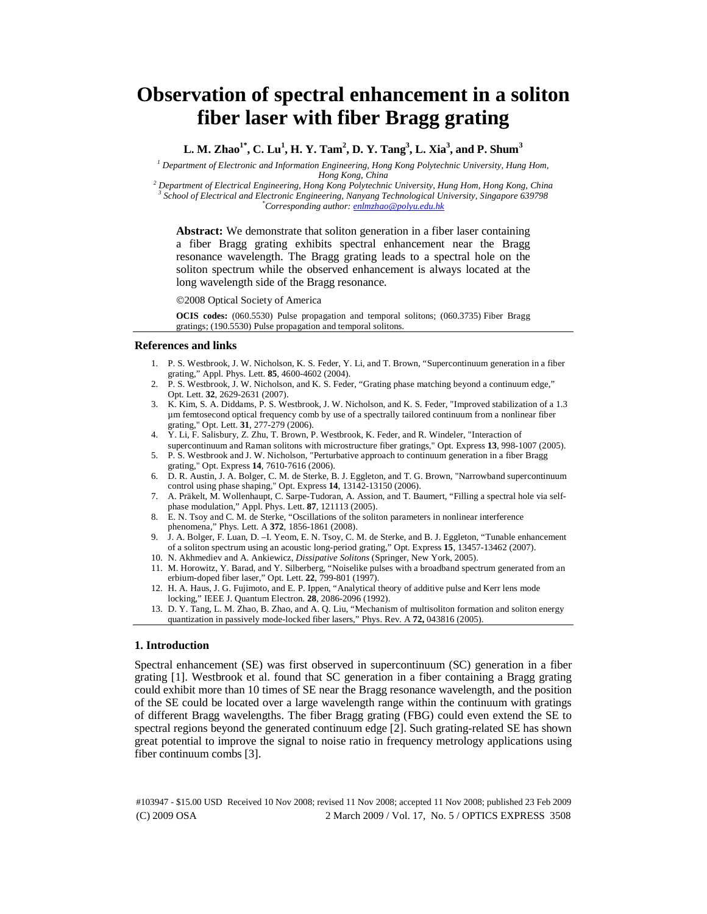# **Observation of spectral enhancement in a soliton fiber laser with fiber Bragg grating**

 $L. M. Zhao<sup>1*</sup>, C. Lu<sup>1</sup>, H. Y. Tam<sup>2</sup>, D. Y. Tang<sup>3</sup>, L. Xia<sup>3</sup>, and P. Shum<sup>3</sup>$ 

<sup>1</sup> Department of Electronic and Information Engineering, Hong Kong Polytechnic University, Hung Hom,

*Hong Kong, China*<br><sup>2</sup> Department of Electrical Engineering, Hong Kong Polytechnic University, Hung Hom, Hong Kong, China<br><sup>3</sup> School of Electrical and Electronic Engineering, Nanyang Technological University, Singgnore 630  *School of Electrical and Electronic Engineering, Nanyang Technological University, Singapore 639798 \* Corresponding author: enlmzhao@polyu.edu.hk* 

**Abstract:** We demonstrate that soliton generation in a fiber laser containing a fiber Bragg grating exhibits spectral enhancement near the Bragg resonance wavelength. The Bragg grating leads to a spectral hole on the soliton spectrum while the observed enhancement is always located at the long wavelength side of the Bragg resonance.

©2008 Optical Society of America

**OCIS codes:** (060.5530) Pulse propagation and temporal solitons; (060.3735) Fiber Bragg gratings; (190.5530) Pulse propagation and temporal solitons.

## **References and links**

- 1. P. S. Westbrook, J. W. Nicholson, K. S. Feder, Y. Li, and T. Brown, "Supercontinuum generation in a fiber grating," Appl. Phys. Lett. **85**, 4600-4602 (2004).
- 2. P. S. Westbrook, J. W. Nicholson, and K. S. Feder, "Grating phase matching beyond a continuum edge," Opt. Lett. **32**, 2629-2631 (2007).
- 3. K. Kim, S. A. Diddams, P. S. Westbrook, J. W. Nicholson, and K. S. Feder, "Improved stabilization of a 1.3 µm femtosecond optical frequency comb by use of a spectrally tailored continuum from a nonlinear fiber grating," Opt. Lett. **31**, 277-279 (2006).
- 4. Y. Li, F. Salisbury, Z. Zhu, T. Brown, P. Westbrook, K. Feder, and R. Windeler, "Interaction of supercontinuum and Raman solitons with microstructure fiber gratings," Opt. Express **13**, 998-1007 (2005).
- 5. P. S. Westbrook and J. W. Nicholson, "Perturbative approach to continuum generation in a fiber Bragg grating," Opt. Express **14**, 7610-7616 (2006).
- 6. D. R. Austin, J. A. Bolger, C. M. de Sterke, B. J. Eggleton, and T. G. Brown, "Narrowband supercontinuum control using phase shaping," Opt. Express **14**, 13142-13150 (2006).
- 7. A. Präkelt, M. Wollenhaupt, C. Sarpe-Tudoran, A. Assion, and T. Baumert, "Filling a spectral hole via selfphase modulation," Appl. Phys. Lett. **87**, 121113 (2005).
- 8. E. N. Tsoy and C. M. de Sterke, "Oscillations of the soliton parameters in nonlinear interference phenomena," Phys. Lett. A **372**, 1856-1861 (2008).
- 9. J. A. Bolger, F. Luan, D. –I. Yeom, E. N. Tsoy, C. M. de Sterke, and B. J. Eggleton, "Tunable enhancement of a soliton spectrum using an acoustic long-period grating," Opt. Express **15**, 13457-13462 (2007).
- 10. N. Akhmediev and A. Ankiewicz, *Dissipative Solitons* (Springer, New York, 2005).
- 11. M. Horowitz, Y. Barad, and Y. Silberberg, "Noiselike pulses with a broadband spectrum generated from an erbium-doped fiber laser," Opt. Lett. **22**, 799-801 (1997).
- 12. H. A. Haus, J. G. Fujimoto, and E. P. Ippen, "Analytical theory of additive pulse and Kerr lens mode locking," IEEE J. Quantum Electron. **28**, 2086-2096 (1992).
- 13. D. Y. Tang, L. M. Zhao, B. Zhao, and A. Q. Liu, "Mechanism of multisoliton formation and soliton energy quantization in passively mode-locked fiber lasers," Phys. Rev. A **72,** 043816 (2005).

### **1. Introduction**

Spectral enhancement (SE) was first observed in supercontinuum (SC) generation in a fiber grating [1]. Westbrook et al. found that SC generation in a fiber containing a Bragg grating could exhibit more than 10 times of SE near the Bragg resonance wavelength, and the position of the SE could be located over a large wavelength range within the continuum with gratings of different Bragg wavelengths. The fiber Bragg grating (FBG) could even extend the SE to spectral regions beyond the generated continuum edge [2]. Such grating-related SE has shown great potential to improve the signal to noise ratio in frequency metrology applications using fiber continuum combs [3].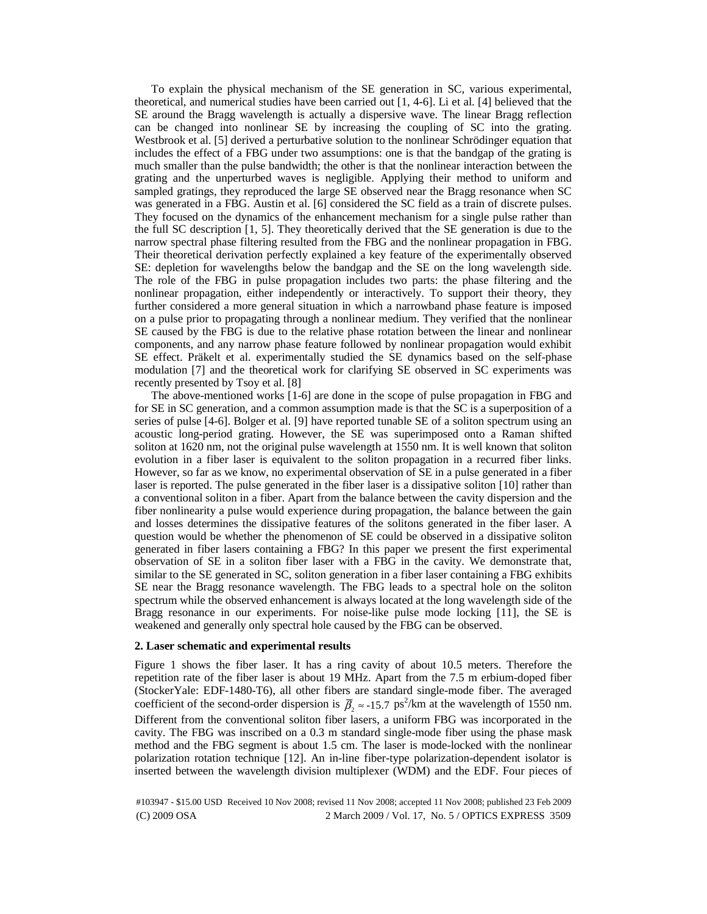To explain the physical mechanism of the SE generation in SC, various experimental, theoretical, and numerical studies have been carried out [1, 4-6]. Li et al. [4] believed that the SE around the Bragg wavelength is actually a dispersive wave. The linear Bragg reflection can be changed into nonlinear SE by increasing the coupling of SC into the grating. Westbrook et al. [5] derived a perturbative solution to the nonlinear Schrödinger equation that includes the effect of a FBG under two assumptions: one is that the bandgap of the grating is much smaller than the pulse bandwidth; the other is that the nonlinear interaction between the grating and the unperturbed waves is negligible. Applying their method to uniform and sampled gratings, they reproduced the large SE observed near the Bragg resonance when SC was generated in a FBG. Austin et al. [6] considered the SC field as a train of discrete pulses. They focused on the dynamics of the enhancement mechanism for a single pulse rather than the full SC description [1, 5]. They theoretically derived that the SE generation is due to the narrow spectral phase filtering resulted from the FBG and the nonlinear propagation in FBG. Their theoretical derivation perfectly explained a key feature of the experimentally observed SE: depletion for wavelengths below the bandgap and the SE on the long wavelength side. The role of the FBG in pulse propagation includes two parts: the phase filtering and the nonlinear propagation, either independently or interactively. To support their theory, they further considered a more general situation in which a narrowband phase feature is imposed on a pulse prior to propagating through a nonlinear medium. They verified that the nonlinear SE caused by the FBG is due to the relative phase rotation between the linear and nonlinear components, and any narrow phase feature followed by nonlinear propagation would exhibit SE effect. Präkelt et al. experimentally studied the SE dynamics based on the self-phase modulation [7] and the theoretical work for clarifying SE observed in SC experiments was recently presented by Tsoy et al. [8]

The above-mentioned works [1-6] are done in the scope of pulse propagation in FBG and for SE in SC generation, and a common assumption made is that the SC is a superposition of a series of pulse [4-6]. Bolger et al. [9] have reported tunable SE of a soliton spectrum using an acoustic long-period grating. However, the SE was superimposed onto a Raman shifted soliton at 1620 nm, not the original pulse wavelength at 1550 nm. It is well known that soliton evolution in a fiber laser is equivalent to the soliton propagation in a recurred fiber links. However, so far as we know, no experimental observation of SE in a pulse generated in a fiber laser is reported. The pulse generated in the fiber laser is a dissipative soliton [10] rather than a conventional soliton in a fiber. Apart from the balance between the cavity dispersion and the fiber nonlinearity a pulse would experience during propagation, the balance between the gain and losses determines the dissipative features of the solitons generated in the fiber laser. A question would be whether the phenomenon of SE could be observed in a dissipative soliton generated in fiber lasers containing a FBG? In this paper we present the first experimental observation of SE in a soliton fiber laser with a FBG in the cavity. We demonstrate that, similar to the SE generated in SC, soliton generation in a fiber laser containing a FBG exhibits SE near the Bragg resonance wavelength. The FBG leads to a spectral hole on the soliton spectrum while the observed enhancement is always located at the long wavelength side of the Bragg resonance in our experiments. For noise-like pulse mode locking [11], the SE is weakened and generally only spectral hole caused by the FBG can be observed.

#### **2. Laser schematic and experimental results**

Figure 1 shows the fiber laser. It has a ring cavity of about 10.5 meters. Therefore the repetition rate of the fiber laser is about 19 MHz. Apart from the 7.5 m erbium-doped fiber (StockerYale: EDF-1480-T6), all other fibers are standard single-mode fiber. The averaged coefficient of the second-order dispersion is  $\bar{\beta}_2 \approx -15.7 \text{ ps}^2/\text{km}$  at the wavelength of 1550 nm. Different from the conventional soliton fiber lasers, a uniform FBG was incorporated in the cavity. The FBG was inscribed on a 0.3 m standard single-mode fiber using the phase mask method and the FBG segment is about 1.5 cm. The laser is mode-locked with the nonlinear polarization rotation technique [12]. An in-line fiber-type polarization-dependent isolator is inserted between the wavelength division multiplexer (WDM) and the EDF. Four pieces of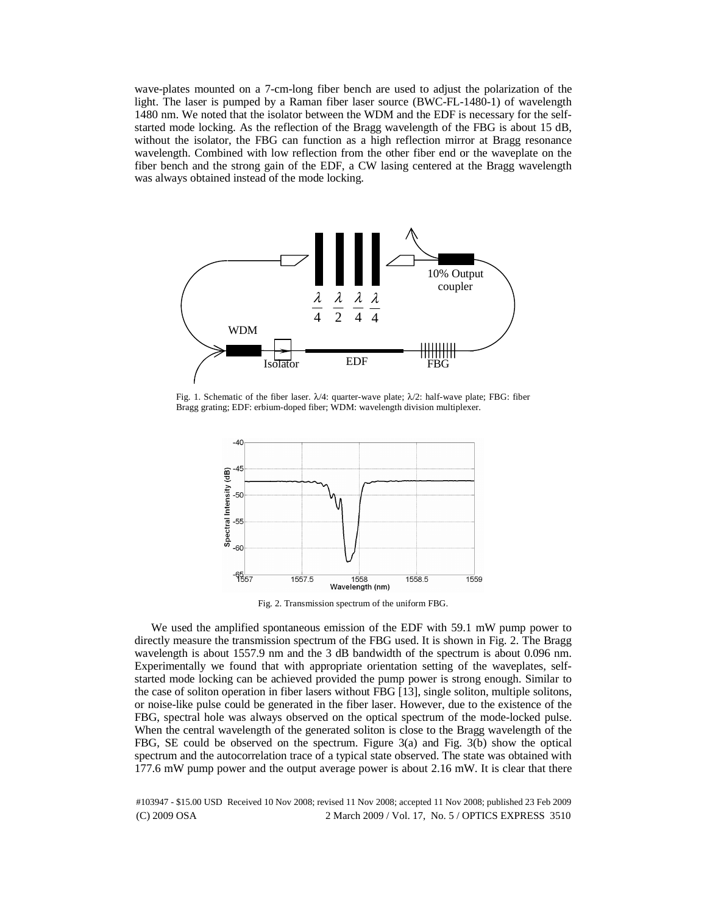wave-plates mounted on a 7-cm-long fiber bench are used to adjust the polarization of the light. The laser is pumped by a Raman fiber laser source (BWC-FL-1480-1) of wavelength 1480 nm. We noted that the isolator between the WDM and the EDF is necessary for the selfstarted mode locking. As the reflection of the Bragg wavelength of the FBG is about 15 dB, without the isolator, the FBG can function as a high reflection mirror at Bragg resonance wavelength. Combined with low reflection from the other fiber end or the waveplate on the fiber bench and the strong gain of the EDF, a CW lasing centered at the Bragg wavelength was always obtained instead of the mode locking.



Fig. 1. Schematic of the fiber laser.  $\lambda/4$ : quarter-wave plate;  $\lambda/2$ : half-wave plate; FBG: fiber Bragg grating; EDF: erbium-doped fiber; WDM: wavelength division multiplexer.



Fig. 2. Transmission spectrum of the uniform FBG.

We used the amplified spontaneous emission of the EDF with 59.1 mW pump power to directly measure the transmission spectrum of the FBG used. It is shown in Fig. 2. The Bragg wavelength is about 1557.9 nm and the 3 dB bandwidth of the spectrum is about 0.096 nm. Experimentally we found that with appropriate orientation setting of the waveplates, selfstarted mode locking can be achieved provided the pump power is strong enough. Similar to the case of soliton operation in fiber lasers without FBG [13], single soliton, multiple solitons, or noise-like pulse could be generated in the fiber laser. However, due to the existence of the FBG, spectral hole was always observed on the optical spectrum of the mode-locked pulse. When the central wavelength of the generated soliton is close to the Bragg wavelength of the FBG, SE could be observed on the spectrum. Figure 3(a) and Fig. 3(b) show the optical spectrum and the autocorrelation trace of a typical state observed. The state was obtained with 177.6 mW pump power and the output average power is about 2.16 mW. It is clear that there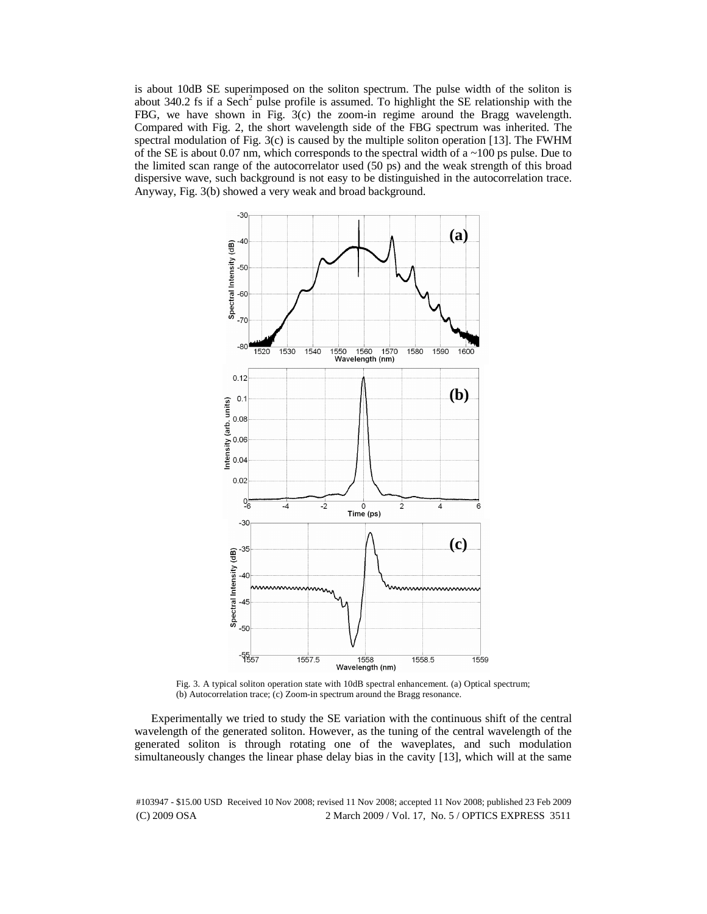is about 10dB SE superimposed on the soliton spectrum. The pulse width of the soliton is about 340.2 fs if a Sech<sup>2</sup> pulse profile is assumed. To highlight the SE relationship with the FBG, we have shown in Fig. 3(c) the zoom-in regime around the Bragg wavelength. Compared with Fig. 2, the short wavelength side of the FBG spectrum was inherited. The spectral modulation of Fig. 3(c) is caused by the multiple soliton operation [13]. The FWHM of the SE is about 0.07 nm, which corresponds to the spectral width of a  $\sim$ 100 ps pulse. Due to the limited scan range of the autocorrelator used (50 ps) and the weak strength of this broad dispersive wave, such background is not easy to be distinguished in the autocorrelation trace. Anyway, Fig. 3(b) showed a very weak and broad background.



Fig. 3. A typical soliton operation state with 10dB spectral enhancement. (a) Optical spectrum; (b) Autocorrelation trace; (c) Zoom-in spectrum around the Bragg resonance.

Experimentally we tried to study the SE variation with the continuous shift of the central wavelength of the generated soliton. However, as the tuning of the central wavelength of the generated soliton is through rotating one of the waveplates, and such modulation simultaneously changes the linear phase delay bias in the cavity [13], which will at the same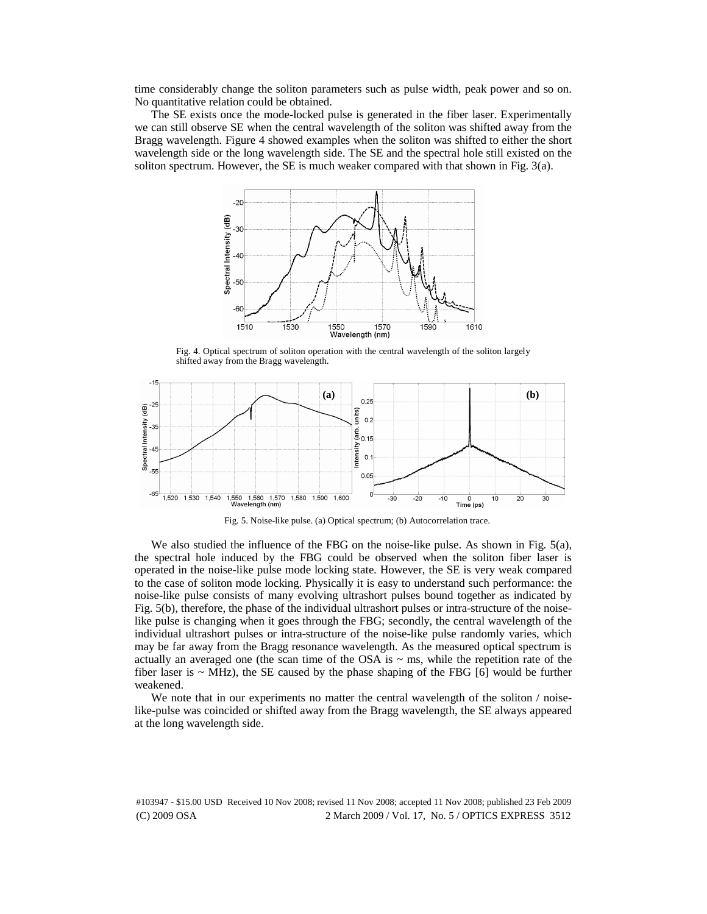time considerably change the soliton parameters such as pulse width, peak power and so on. No quantitative relation could be obtained.

The SE exists once the mode-locked pulse is generated in the fiber laser. Experimentally we can still observe SE when the central wavelength of the soliton was shifted away from the Bragg wavelength. Figure 4 showed examples when the soliton was shifted to either the short wavelength side or the long wavelength side. The SE and the spectral hole still existed on the soliton spectrum. However, the SE is much weaker compared with that shown in Fig. 3(a).



Fig. 4. Optical spectrum of soliton operation with the central wavelength of the soliton largely shifted away from the Bragg wavelength.



Fig. 5. Noise-like pulse. (a) Optical spectrum; (b) Autocorrelation trace.

We also studied the influence of the FBG on the noise-like pulse. As shown in Fig. 5(a), the spectral hole induced by the FBG could be observed when the soliton fiber laser is operated in the noise-like pulse mode locking state. However, the SE is very weak compared to the case of soliton mode locking. Physically it is easy to understand such performance: the noise-like pulse consists of many evolving ultrashort pulses bound together as indicated by Fig. 5(b), therefore, the phase of the individual ultrashort pulses or intra-structure of the noiselike pulse is changing when it goes through the FBG; secondly, the central wavelength of the individual ultrashort pulses or intra-structure of the noise-like pulse randomly varies, which may be far away from the Bragg resonance wavelength. As the measured optical spectrum is actually an averaged one (the scan time of the OSA is  $\sim$  ms, while the repetition rate of the fiber laser is  $\sim$  MHz), the SE caused by the phase shaping of the FBG [6] would be further weakened.

We note that in our experiments no matter the central wavelength of the soliton / noiselike-pulse was coincided or shifted away from the Bragg wavelength, the SE always appeared at the long wavelength side.